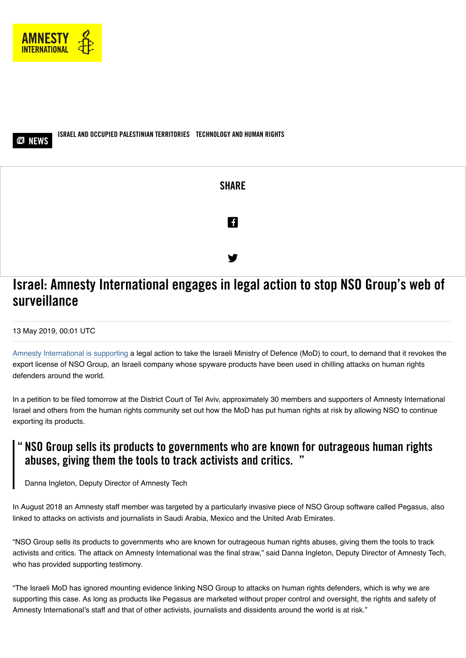



**ISRAEL [AND OCCUPIED PALESTINIAN TERRITORIES](https://www.amnesty.org/en/search/?country=38537) TECHNOLOGY [AND HUMAN RIGHTS](https://www.amnesty.org/en/search/?issue=54748)**



# **Israel: Amnesty International engages in legal action to stop NSO Group's web of surveillance**

#### 13 May 2019, 00:01 UTC

[Amnesty International is supporting](https://www.amnesty.org/en/documents/act10/0332/2019/en/) a legal action to take the Israeli Ministry of Defence (MoD) to court, to demand that it revokes the export license of NSO Group, an Israeli company whose spyware products have been used in chilling attacks on human rights defenders around the world.

In a petition to be filed tomorrow at the District Court of Tel Aviv, approximately 30 members and supporters of Amnesty International Israel and others from the human rights community set out how the MoD has put human rights at risk by allowing NSO to continue exporting its products.

## **NSO Group sells its products to governments who are known for outrageous human rights " abuses, giving them the tools to track activists and critics. "**

Danna Ingleton, Deputy Director of Amnesty Tech

In August 2018 an Amnesty staff member was targeted by a particularly invasive piece of NSO Group software called Pegasus, also linked to attacks on activists and journalists in Saudi Arabia, Mexico and the United Arab Emirates.

"NSO Group sells its products to governments who are known for outrageous human rights abuses, giving them the tools to track activists and critics. The attack on Amnesty International was the final straw," said Danna Ingleton, Deputy Director of Amnesty Tech, who has provided supporting testimony.

"The Israeli MoD has ignored mounting evidence linking NSO Group to attacks on human rights defenders, which is why we are supporting this case. As long as products like Pegasus are marketed without proper control and oversight, the rights and safety of Amnesty International's staff and that of other activists, journalists and dissidents around the world is at risk."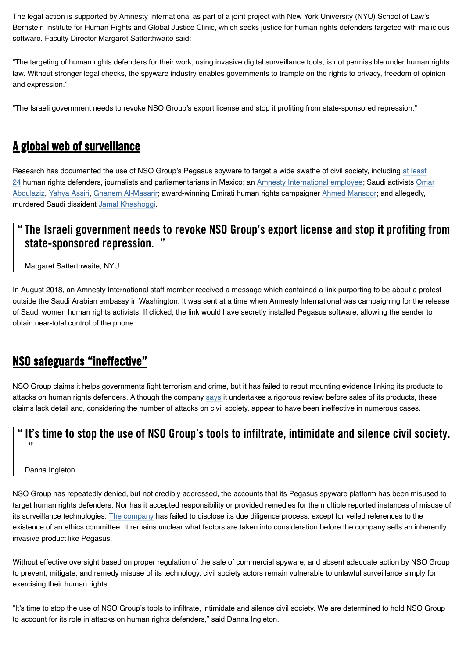The legal action is supported by Amnesty International as part of a joint project with New York University (NYU) School of Law's Bernstein Institute for Human Rights and Global Justice Clinic, which seeks justice for human rights defenders targeted with malicious software. Faculty Director Margaret Satterthwaite said:

"The targeting of human rights defenders for their work, using invasive digital surveillance tools, is not permissible under human rights law. Without stronger legal checks, the spyware industry enables governments to trample on the rights to privacy, freedom of opinion and expression."

"The Israeli government needs to revoke NSO Group's export license and stop it profiting from state-sponsored repression."

### **A global web of surveillance**

Research has documented the use of NSO Group's Pegasus spyware to target a wide swathe of civil society, including at least [24 human rights defenders, journalists and parliamentarians in Mexico; an Amnesty International employee; Saudi activists O](https://citizenlab.ca/2018/11/mexican-journalists-investigating-cartels-targeted-nso-spyware-following-assassination-colleague/)[mar](https://citizenlab.ca/2018/10/the-kingdom-came-to-canada-how-saudi-linked-digital-espionage-reached-canadian-soil/) Abdulaziz, [Yahya Assiri](https://www.amnesty.org/en/latest/research/2018/08/amnesty-international-among-targets-of-nso-powered-campaign/), [Ghanem Al-Masarir](https://www.forbes.com/sites/thomasbrewster/2018/11/21/exclusive-saudi-dissidents-hit-with-stealth-iphone-spyware-before-khashoggis-murder/#125b5a1b2e8b); award-winning Emirati human rights campaigner [Ahmed Mansoor;](https://citizenlab.ca/2016/08/million-dollar-dissident-iphone-zero-day-nso-group-uae/) and allegedly, murdered Saudi dissident [Jamal Khashoggi.](https://www.nytimes.com/2018/12/02/world/middleeast/saudi-khashoggi-spyware-israel.html)

#### **The Israeli government needs to revoke NSO Group's export license and stop it profiting from " state-sponsored repression. "**

Margaret Satterthwaite, NYU

In August 2018, an Amnesty International staff member received a message which contained a link purporting to be about a protest outside the Saudi Arabian embassy in Washington. It was sent at a time when Amnesty International was campaigning for the release of Saudi women human rights activists. If clicked, the link would have secretly installed Pegasus software, allowing the sender to obtain near-total control of the phone.

## **NSO safeguards "ineffective"**

NSO Group claims it helps governments fight terrorism and crime, but it has failed to rebut mounting evidence linking its products to attacks on human rights defenders. Although the company [says](https://www.cbsnews.com/news/interview-with-ceo-of-nso-group-israeli-spyware-maker-on-fighting-terror-khashoggi-murder-and-saudi-arabia-60-minutes/) it undertakes a rigorous review before sales of its products, these claims lack detail and, considering the number of attacks on civil society, appear to have been ineffective in numerous cases.

### **" It's time to stop the use of NSO Group's tools to infiltrate, intimidate and silence civil society. "**

#### Danna Ingleton

NSO Group has repeatedly denied, but not credibly addressed, the accounts that its Pegasus spyware platform has been misused to target human rights defenders. Nor has it accepted responsibility or provided remedies for the multiple reported instances of misuse of its surveillance technologies. [The company](https://www.nsogroup.com/governance/) has failed to disclose its due diligence process, except for veiled references to the existence of an ethics committee. It remains unclear what factors are taken into consideration before the company sells an inherently invasive product like Pegasus.

Without effective oversight based on proper regulation of the sale of commercial spyware, and absent adequate action by NSO Group to prevent, mitigate, and remedy misuse of its technology, civil society actors remain vulnerable to unlawful surveillance simply for exercising their human rights.

"It's time to stop the use of NSO Group's tools to infiltrate, intimidate and silence civil society. We are determined to hold NSO Group to account for its role in attacks on human rights defenders," said Danna Ingleton.